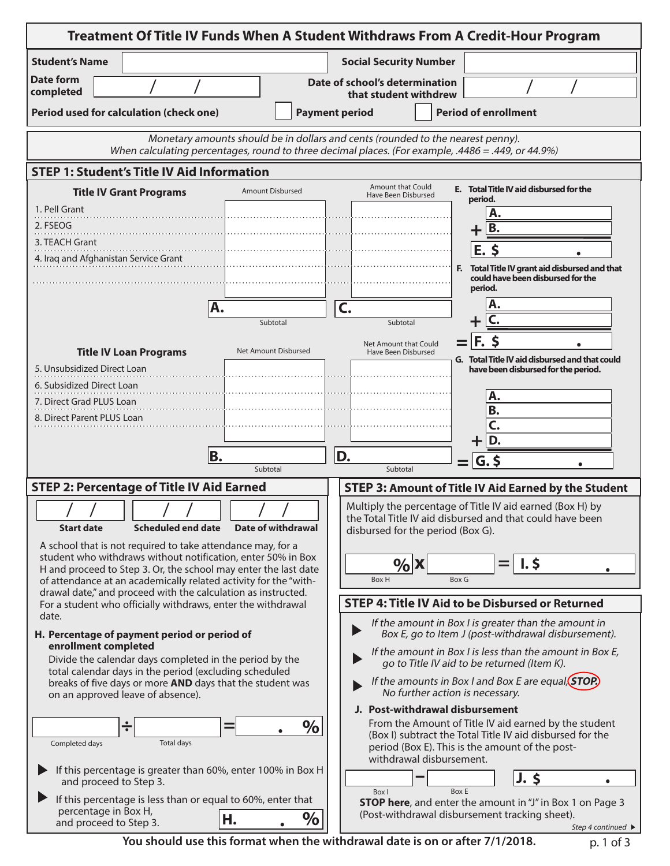| Treatment Of Title IV Funds When A Student Withdraws From A Credit-Hour Program                                                                                                                                              |                           |                         |                                                                                                                 |              |                                                                                                                                                                       |  |  |  |  |  |  |
|------------------------------------------------------------------------------------------------------------------------------------------------------------------------------------------------------------------------------|---------------------------|-------------------------|-----------------------------------------------------------------------------------------------------------------|--------------|-----------------------------------------------------------------------------------------------------------------------------------------------------------------------|--|--|--|--|--|--|
| <b>Student's Name</b>                                                                                                                                                                                                        |                           |                         | <b>Social Security Number</b>                                                                                   |              |                                                                                                                                                                       |  |  |  |  |  |  |
| Date form<br>completed                                                                                                                                                                                                       |                           |                         | Date of school's determination<br>that student withdrew                                                         |              |                                                                                                                                                                       |  |  |  |  |  |  |
| Period used for calculation (check one)                                                                                                                                                                                      |                           | <b>Payment period</b>   |                                                                                                                 |              | <b>Period of enrollment</b>                                                                                                                                           |  |  |  |  |  |  |
| Monetary amounts should be in dollars and cents (rounded to the nearest penny).                                                                                                                                              |                           |                         |                                                                                                                 |              |                                                                                                                                                                       |  |  |  |  |  |  |
| When calculating percentages, round to three decimal places. (For example, .4486 = .449, or 44.9%)                                                                                                                           |                           |                         |                                                                                                                 |              |                                                                                                                                                                       |  |  |  |  |  |  |
| <b>STEP 1: Student's Title IV Aid Information</b>                                                                                                                                                                            |                           |                         |                                                                                                                 |              |                                                                                                                                                                       |  |  |  |  |  |  |
| <b>Title IV Grant Programs</b>                                                                                                                                                                                               |                           | <b>Amount Disbursed</b> | <b>Amount that Could</b><br>Have Been Disbursed                                                                 |              | E. Total Title IV aid disbursed for the<br>period.                                                                                                                    |  |  |  |  |  |  |
| 1. Pell Grant<br>2. FSEOG                                                                                                                                                                                                    |                           |                         |                                                                                                                 |              | А.<br>B.                                                                                                                                                              |  |  |  |  |  |  |
| 3. TEACH Grant                                                                                                                                                                                                               |                           |                         |                                                                                                                 |              | $\pm$<br>$E.$ \$                                                                                                                                                      |  |  |  |  |  |  |
| 4. Iraq and Afghanistan Service Grant                                                                                                                                                                                        |                           |                         |                                                                                                                 |              | F. Total Title IV grant aid disbursed and that                                                                                                                        |  |  |  |  |  |  |
|                                                                                                                                                                                                                              |                           |                         |                                                                                                                 |              | could have been disbursed for the<br>period.                                                                                                                          |  |  |  |  |  |  |
|                                                                                                                                                                                                                              | A.                        |                         | C.                                                                                                              |              |                                                                                                                                                                       |  |  |  |  |  |  |
|                                                                                                                                                                                                                              |                           | Subtotal                | Subtotal                                                                                                        |              |                                                                                                                                                                       |  |  |  |  |  |  |
| <b>Title IV Loan Programs</b>                                                                                                                                                                                                |                           | Net Amount Disbursed    | Net Amount that Could<br>Have Been Disbursed                                                                    |              | $F_{\rm e}$<br>G. Total Title IV aid disbursed and that could                                                                                                         |  |  |  |  |  |  |
| 5. Unsubsidized Direct Loan                                                                                                                                                                                                  |                           |                         |                                                                                                                 |              | have been disbursed for the period.                                                                                                                                   |  |  |  |  |  |  |
| 6. Subsidized Direct Loan<br>7. Direct Grad PLUS Loan                                                                                                                                                                        |                           |                         |                                                                                                                 |              | Α.                                                                                                                                                                    |  |  |  |  |  |  |
| 8. Direct Parent PLUS Loan                                                                                                                                                                                                   |                           |                         |                                                                                                                 |              | В.<br>C.                                                                                                                                                              |  |  |  |  |  |  |
|                                                                                                                                                                                                                              |                           |                         |                                                                                                                 |              | $+ D.$                                                                                                                                                                |  |  |  |  |  |  |
|                                                                                                                                                                                                                              | B.<br>Subtotal            |                         | D.<br>Subtotal                                                                                                  |              | $G,$ \$                                                                                                                                                               |  |  |  |  |  |  |
| <b>STEP 2: Percentage of Title IV Aid Earned</b>                                                                                                                                                                             |                           |                         |                                                                                                                 |              | <b>STEP 3: Amount of Title IV Aid Earned by the Student</b>                                                                                                           |  |  |  |  |  |  |
| I<br><b>Start date</b>                                                                                                                                                                                                       | <b>Scheduled end date</b> | Date of withdrawal      | disbursed for the period (Box G).                                                                               |              | Multiply the percentage of Title IV aid earned (Box H) by<br>the Total Title IV aid disbursed and that could have been                                                |  |  |  |  |  |  |
| A school that is not required to take attendance may, for a<br>student who withdraws without notification, enter 50% in Box                                                                                                  |                           |                         |                                                                                                                 |              |                                                                                                                                                                       |  |  |  |  |  |  |
| H and proceed to Step 3. Or, the school may enter the last date                                                                                                                                                              |                           |                         | $\%$ X                                                                                                          | <b>Box G</b> | $\mathsf{I}$ . \$<br>=<br>$\bullet$                                                                                                                                   |  |  |  |  |  |  |
| of attendance at an academically related activity for the "with-<br>Box H<br>drawal date," and proceed with the calculation as instructed.                                                                                   |                           |                         |                                                                                                                 |              |                                                                                                                                                                       |  |  |  |  |  |  |
| For a student who officially withdraws, enter the withdrawal<br>date.                                                                                                                                                        |                           |                         | <b>STEP 4: Title IV Aid to be Disbursed or Returned</b><br>If the amount in Box I is greater than the amount in |              |                                                                                                                                                                       |  |  |  |  |  |  |
| H. Percentage of payment period or period of<br>Box E, go to Item J (post-withdrawal disbursement).<br>enrollment completed                                                                                                  |                           |                         |                                                                                                                 |              |                                                                                                                                                                       |  |  |  |  |  |  |
| If the amount in Box I is less than the amount in Box E,<br>Divide the calendar days completed in the period by the<br>go to Title IV aid to be returned (Item K).<br>total calendar days in the period (excluding scheduled |                           |                         |                                                                                                                 |              |                                                                                                                                                                       |  |  |  |  |  |  |
| breaks of five days or more AND days that the student was<br>on an approved leave of absence).                                                                                                                               |                           |                         | If the amounts in Box I and Box E are equal. (STOP.)<br>No further action is necessary.                         |              |                                                                                                                                                                       |  |  |  |  |  |  |
|                                                                                                                                                                                                                              |                           |                         | J. Post-withdrawal disbursement                                                                                 |              |                                                                                                                                                                       |  |  |  |  |  |  |
| ÷<br>Completed days                                                                                                                                                                                                          | Total days                | $\%$                    | withdrawal disbursement.                                                                                        |              | From the Amount of Title IV aid earned by the student<br>(Box I) subtract the Total Title IV aid disbursed for the<br>period (Box E). This is the amount of the post- |  |  |  |  |  |  |
| If this percentage is greater than 60%, enter 100% in Box H<br>and proceed to Step 3.                                                                                                                                        |                           |                         |                                                                                                                 |              | $J.$ \$                                                                                                                                                               |  |  |  |  |  |  |
| If this percentage is less than or equal to 60%, enter that<br>percentage in Box H,<br>and proceed to Step 3.                                                                                                                | Н.                        | $\%$                    | Box I                                                                                                           | <b>Box E</b> | STOP here, and enter the amount in "J" in Box 1 on Page 3<br>(Post-withdrawal disbursement tracking sheet).<br>Step 4 continued ▶                                     |  |  |  |  |  |  |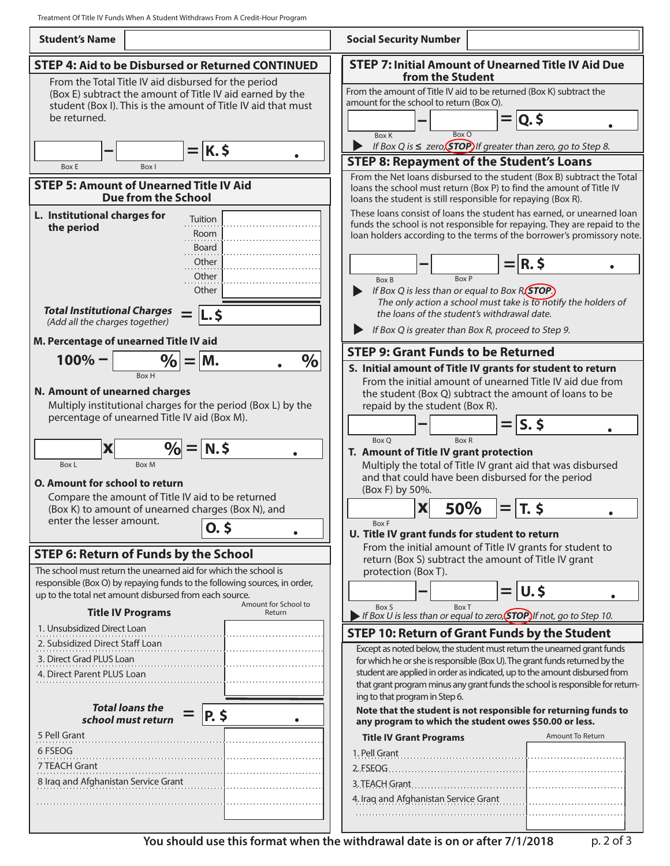Treatment Of Title IV Funds When A Student Withdraws From A Credit-Hour Program